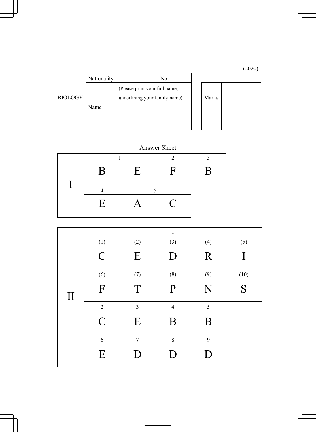(2020)

|                | Nationality |                               | No. |  |  |       |  |
|----------------|-------------|-------------------------------|-----|--|--|-------|--|
|                |             | (Please print your full name, |     |  |  |       |  |
| <b>BIOLOGY</b> |             | underlining your family name) |     |  |  | Marks |  |
|                | Name        |                               |     |  |  |       |  |
|                |             |                               |     |  |  |       |  |
|                |             |                               |     |  |  |       |  |

## Answer Sheet

| $\mathbf{B}$ | E                 | $\mathbf{F}$ | B |
|--------------|-------------------|--------------|---|
|              |                   |              |   |
| E            | $\bm{\mathsf{A}}$ | $\mathbf C$  |   |

|         |                |                | $\mathbf{1}$   |     |      |
|---------|----------------|----------------|----------------|-----|------|
|         | (1)            | (2)            | (3)            | (4) | (5)  |
|         | $\overline{C}$ | E              | D              | R   | I    |
|         | (6)            | (7)            | (8)            | (9) | (10) |
| $\prod$ | F              | T              | P              | N   | S    |
|         | $\overline{2}$ | $\overline{3}$ | $\overline{4}$ | 5   |      |
|         | $\overline{C}$ | E              | B              | B   |      |
|         | 6              | $\overline{7}$ | $8\,$          | 9   |      |
|         | E              | D              | D              | D   |      |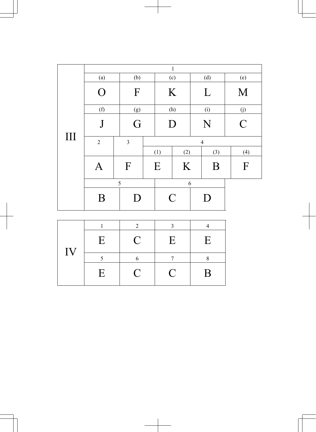|                    | $\mathbf 1$    |                |  |                |     |     |     |                |
|--------------------|----------------|----------------|--|----------------|-----|-----|-----|----------------|
|                    | (a)            | (b)            |  | (c)            |     | (d) |     | (e)            |
|                    | $\Omega$       | F              |  | K              |     | L   |     | M              |
|                    | (f)            | (g)            |  |                | (h) |     | (i) | (j)            |
|                    | $\int$         | G              |  | D              |     | N   |     | $\overline{C}$ |
| $\mathop{\rm III}$ | $\overline{2}$ | $\overline{3}$ |  | $\overline{4}$ |     |     |     |                |
|                    |                |                |  | (1)            | (2) |     | (3) | (4)            |
|                    | $\bm A$        | $\mathbf{F}$   |  | E              | K   |     | B   | $\mathbf{F}$   |
|                    | 5              |                |  | 6              |     |     |     |                |
|                    | B              | D              |  | $\mathcal{C}$  |     |     | D   |                |

|    |              | ∍           |           |   |
|----|--------------|-------------|-----------|---|
|    | E            | $\mathbf C$ | E         | Ε |
| IV |              |             |           |   |
|    | $\mathbf{E}$ | $\mathbf C$ | $\bigcup$ | B |